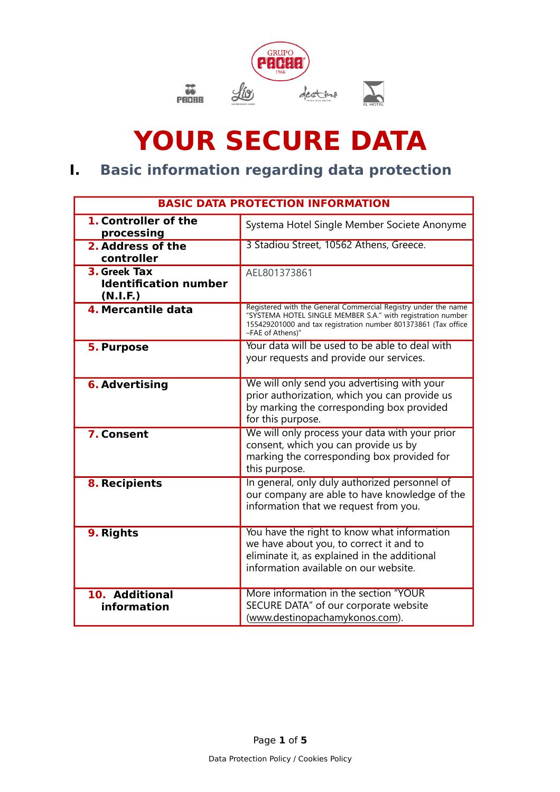

# **YOUR SECURE DATA**

## **I. Basic information regarding data protection**

| <b>BASIC DATA PROTECTION INFORMATION</b>                 |                                                                                                                                                                                                                     |
|----------------------------------------------------------|---------------------------------------------------------------------------------------------------------------------------------------------------------------------------------------------------------------------|
| 1. Controller of the<br>processing                       | Systema Hotel Single Member Societe Anonyme                                                                                                                                                                         |
| 2. Address of the<br>controller                          | 3 Stadiou Street, 10562 Athens, Greece.                                                                                                                                                                             |
| 3. Greek Tax<br><b>Identification number</b><br>(N.I.F.) | AEL801373861                                                                                                                                                                                                        |
| 4. Mercantile data                                       | Registered with the General Commercial Registry under the name<br>"SYSTEMA HOTEL SINGLE MEMBER S.A." with registration number<br>155429201000 and tax registration number 801373861 (Tax office<br>-FAE of Athens)" |
| <b>5. Purpose</b>                                        | Your data will be used to be able to deal with<br>your requests and provide our services.                                                                                                                           |
| <b>6. Advertising</b>                                    | We will only send you advertising with your<br>prior authorization, which you can provide us<br>by marking the corresponding box provided<br>for this purpose.                                                      |
| 7. Consent                                               | We will only process your data with your prior<br>consent, which you can provide us by<br>marking the corresponding box provided for<br>this purpose.                                                               |
| 8. Recipients                                            | In general, only duly authorized personnel of<br>our company are able to have knowledge of the<br>information that we request from you.                                                                             |
| 9. Rights                                                | You have the right to know what information<br>we have about you, to correct it and to<br>eliminate it, as explained in the additional<br>information available on our website.                                     |
| 10. Additional<br>information                            | More information in the section "YOUR<br>SECURE DATA" of our corporate website<br>(www.destinopachamykonos.com).                                                                                                    |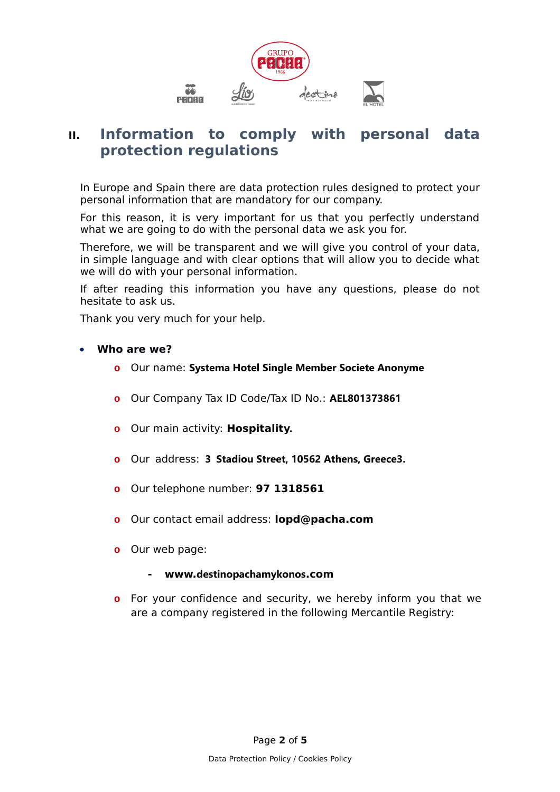

### **II. Information to comply with personal data protection regulations**

In Europe and Spain there are data protection rules designed to protect your personal information that are mandatory for our company.

For this reason, it is very important for us that you perfectly understand what we are going to do with the personal data we ask you for.

Therefore, we will be transparent and we will give you control of your data, in simple language and with clear options that will allow you to decide what we will do with your personal information.

If after reading this information you have any questions, please do not hesitate to ask us.

Thank you very much for your help.

#### **Who are we?**

- **o** Our name: **Systema Hotel Single Member Societe Anonyme**
- **o** Our Company Tax ID Code/Tax ID No.: **AEL801373861**
- **o** Our main activity: **Hospitality.**
- **o** Our address: **3 Stadiou Street, 10562 Athens, Greece3.**
- **o** Our telephone number: **97 1318561**
- **o** Our contact email address: **lopd@pacha.com**
- **o** Our web page:

#### **- www.[destinopachamykonos](http://www.pacha.com/).com**

**o** For your confidence and security, we hereby inform you that we are a company registered in the following Mercantile Registry: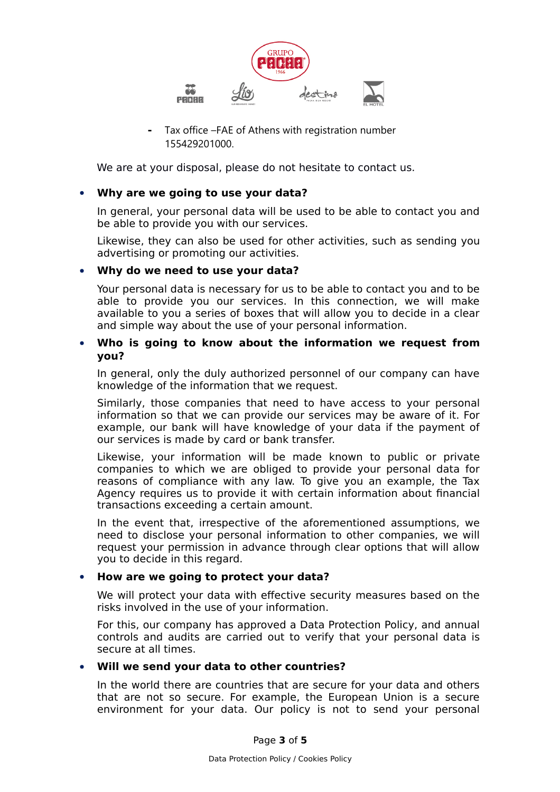

**-** Tax office –FAE of Athens with registration number 155429201000.

We are at your disposal, please do not hesitate to contact us.

#### **Why are we going to use your data?**

In general, your personal data will be used to be able to contact you and be able to provide you with our services.

Likewise, they can also be used for other activities, such as sending you advertising or promoting our activities.

#### **Why do we need to use your data?**

Your personal data is necessary for us to be able to contact you and to be able to provide you our services. In this connection, we will make available to you a series of boxes that will allow you to decide in a clear and simple way about the use of your personal information.

#### **Who is going to know about the information we request from you?**

In general, only the duly authorized personnel of our company can have knowledge of the information that we request.

Similarly, those companies that need to have access to your personal information so that we can provide our services may be aware of it. For example, our bank will have knowledge of your data if the payment of our services is made by card or bank transfer.

Likewise, your information will be made known to public or private companies to which we are obliged to provide your personal data for reasons of compliance with any law. To give you an example, the Tax Agency requires us to provide it with certain information about financial transactions exceeding a certain amount.

In the event that, irrespective of the aforementioned assumptions, we need to disclose your personal information to other companies, we will request your permission in advance through clear options that will allow you to decide in this regard.

#### **How are we going to protect your data?**

We will protect your data with effective security measures based on the risks involved in the use of your information.

For this, our company has approved a Data Protection Policy, and annual controls and audits are carried out to verify that your personal data is secure at all times.

#### **Will we send your data to other countries?**

In the world there are countries that are secure for your data and others that are not so secure. For example, the European Union is a secure environment for your data. Our policy is not to send your personal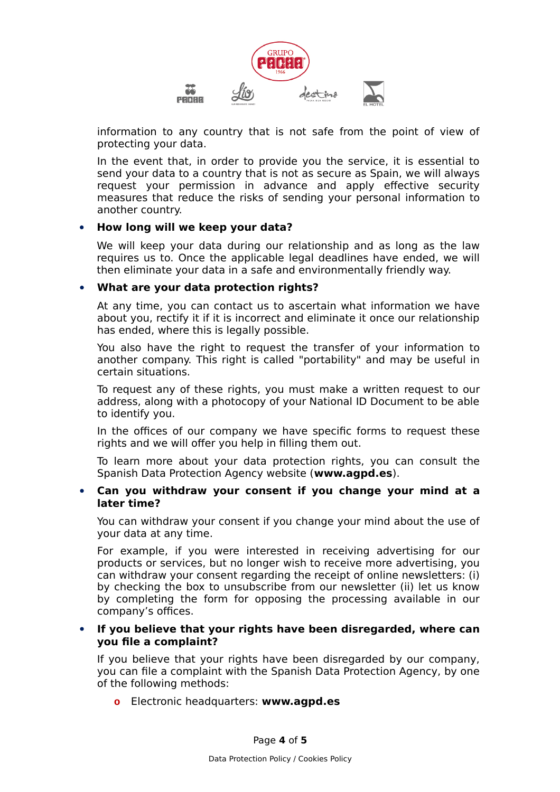

information to any country that is not safe from the point of view of protecting your data.

In the event that, in order to provide you the service, it is essential to send your data to a country that is not as secure as Spain, we will always request your permission in advance and apply effective security measures that reduce the risks of sending your personal information to another country.

#### **How long will we keep your data?**

We will keep your data during our relationship and as long as the law requires us to. Once the applicable legal deadlines have ended, we will then eliminate your data in a safe and environmentally friendly way.

#### **What are your data protection rights?**

At any time, you can contact us to ascertain what information we have about you, rectify it if it is incorrect and eliminate it once our relationship has ended, where this is legally possible.

You also have the right to request the transfer of your information to another company. This right is called "portability" and may be useful in certain situations.

To request any of these rights, you must make a written request to our address, along with a photocopy of your National ID Document to be able to identify you.

In the offices of our company we have specific forms to request these rights and we will offer you help in filling them out.

To learn more about your data protection rights, you can consult the Spanish Data Protection Agency website (**www.agpd.es**).

#### **Can you withdraw your consent if you change your mind at a later time?**

You can withdraw your consent if you change your mind about the use of your data at any time.

For example, if you were interested in receiving advertising for our products or services, but no longer wish to receive more advertising, you can withdraw your consent regarding the receipt of online newsletters: (i) by checking the box to unsubscribe from our newsletter (ii) let us know by completing the form for opposing the processing available in our company's offices.

#### **If you believe that your rights have been disregarded, where can you file a complaint?**

If you believe that your rights have been disregarded by our company, you can file a complaint with the Spanish Data Protection Agency, by one of the following methods:

**o** Electronic headquarters: **www.agpd.es**